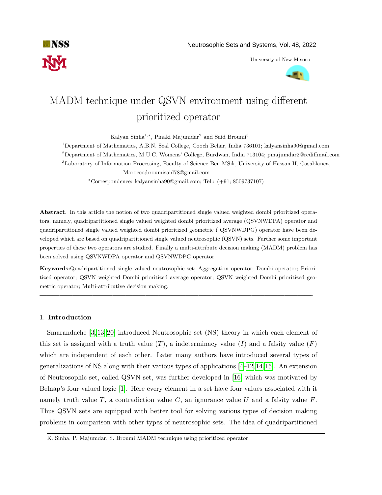

University of New Mexico



# MADM technique under QSVN environment using different prioritized operator

Kalyan Sinha<sup>1,∗</sup>, Pinaki Majumdar<sup>2</sup> and Said Broumi<sup>3</sup>

<sup>1</sup>Department of Mathematics, A.B.N. Seal College, Cooch Behar, India 736101; kalyansinha90@gmail.com <sup>2</sup>Department of Mathematics, M.U.C. Womens' College, Burdwan, India 713104; pmajumdar2@rediffmail.com <sup>3</sup>Laboratory of Information Processing, Faculty of Science Ben MSik, University of Hassan II, Casablanca, Morocco;broumisaid78@gmail.com

<sup>∗</sup>Correspondence: kalyansinha90@gmail.com; Tel.: (+91; 8509737107)

Abstract. In this article the notion of two quadripartitioned single valued weighted dombi prioritized operators, namely, quadripartitioned single valued weighted dombi prioritized average (QSVNWDPA) operator and quadripartitioned single valued weighted dombi prioritized geometric ( QSVNWDPG) operator have been developed which are based on quadripartitioned single valued neutrosophic (QSVN) sets. Further some important properties of these two operators are studied. Finally a multi-attribute decision making (MADM) problem has been solved using QSVNWDPA operator and QSVNWDPG operator.

Keywords:Quadripartitioned single valued neutrosophic set; Aggregation operator; Dombi operator; Prioritized operator; QSVN weighted Dombi prioritized average operator; QSVN weighted Dombi prioritized geometric operator; Multi-attributive decision making.

—————————————————————————————————————————-

## 1. Introduction

Smarandache [\[3,](#page-12-0) [13,](#page-13-0) [20\]](#page-13-1) introduced Neutrosophic set (NS) theory in which each element of this set is assigned with a truth value  $(T)$ , a indeterminacy value  $(I)$  and a falsity value  $(F)$ which are independent of each other. Later many authors have introduced several types of generalizations of NS along with their various types of applications [\[4–](#page-12-1)[12,](#page-12-2)[14,](#page-13-2)[15\]](#page-13-3). An extension of Neutrosophic set, called QSVN set, was further developed in [\[16\]](#page-13-4) which was motivated by Belnap's four valued logic [\[1\]](#page-12-3). Here every element in a set have four values associated with it namely truth value T, a contradiction value C, an ignorance value U and a falsity value  $F$ . Thus QSVN sets are equipped with better tool for solving various types of decision making problems in comparison with other types of neutrosophic sets. The idea of quadripartitioned

K. Sinha, P. Majumdar, S. Broumi MADM technique using prioritized operator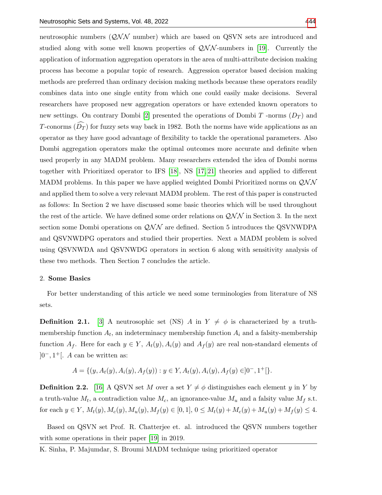neutrosophic numbers  $(QNN$  number) which are based on QSVN sets are introduced and studied along with some well known properties of  $QNN$ -numbers in [\[19\]](#page-13-6). Currently the application of information aggregation operators in the area of multi-attribute decision making process has become a popular topic of research. Aggression operator based decision making methods are preferred than ordinary decision making methods because these operators readily combines data into one single entity from which one could easily make decisions. Several researchers have proposed new aggregation operators or have extended known operators to new settings. On contrary Dombi [\[2\]](#page-12-4) presented the operations of Dombi T -norms  $(D_T)$  and T-conorms  $(\widehat{D}_T)$  for fuzzy sets way back in 1982. Both the norms have wide applications as an operator as they have good advantage of flexibility to tackle the operational parameters. Also Dombi aggregation operators make the optimal outcomes more accurate and definite when used properly in any MADM problem. Many researchers extended the idea of Dombi norms together with Prioritized operator to IFS [\[18\]](#page-13-7), NS [\[17,](#page-13-8) [21\]](#page-13-9) theories and applied to different MADM problems. In this paper we have applied weighted Dombi Prioritized norms on  $\mathcal{QNN}$ and applied them to solve a very relevant MADM problem. The rest of this paper is constructed as follows: In Section 2 we have discussed some basic theories which will be used throughout the rest of the article. We have defined some order relations on  $\mathcal{QNN}$  in Section 3. In the next section some Dombi operations on  $\mathcal{QNN}$  are defined. Section 5 introduces the QSVNWDPA and QSVNWDPG operators and studied their properties. Next a MADM problem is solved using QSVNWDA and QSVNWDG operators in section 6 along with sensitivity analysis of these two methods. Then Section 7 concludes the article.

#### 2. Some Basics

For better understanding of this article we need some terminologies from literature of NS sets.

**Definition 2.1.** [\[3\]](#page-12-0) A neutrosophic set (NS) A in  $Y \neq \phi$  is characterized by a truthmembership function  $A_t$ , an indeterminacy membership function  $A_i$  and a falsity-membership function  $A_f$ . Here for each  $y \in Y$ ,  $A_t(y)$ ,  $A_i(y)$  and  $A_f(y)$  are real non-standard elements of  $]0^-, 1^+]$ . A can be written as:

$$
A = \{ (y, A_t(y), A_i(y), A_f(y)) : y \in Y, A_t(y), A_i(y), A_f(y) \in ]0^-, 1^+[\}.
$$

**Definition 2.2.** [\[16\]](#page-13-4) A QSVN set M over a set  $Y \neq \phi$  distinguishes each element y in Y by a truth-value  $M_t$ , a contradiction value  $M_c$ , an ignorance-value  $M_u$  and a falsity value  $M_f$  s.t. for each  $y \in Y$ ,  $M_t(y)$ ,  $M_c(y)$ ,  $M_u(y)$ ,  $M_f(y) \in [0, 1]$ ,  $0 \leq M_t(y) + M_c(y) + M_u(y) + M_f(y) \leq 4$ .

Based on QSVN set Prof. R. Chatterjee et. al. introduced the QSVN numbers together with some operations in their paper [\[19\]](#page-13-6) in 2019.

K. Sinha, P. Majumdar, S. Broumi MADM technique using prioritized operator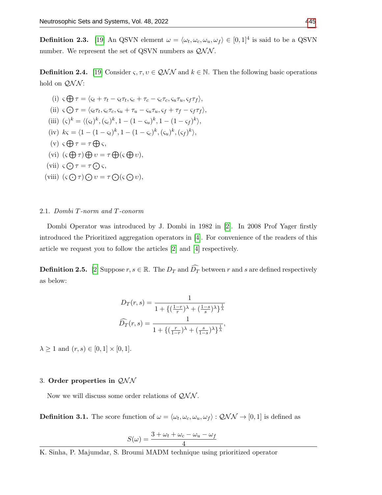**Definition 2.3.** [\[19\]](#page-13-6) An QSVN element  $\omega = \langle \omega_t, \omega_c, \omega_u, \omega_f \rangle \in [0, 1]^4$  is said to be a QSVN number. We represent the set of QSVN numbers as  $QNN$ .

**Definition 2.4.** [\[19\]](#page-13-6) Consider  $\varsigma, \tau, v \in QNN$  and  $k \in \mathbb{N}$ . Then the following basic operations hold on  $\mathcal{QNN}$ :

(i) 
$$
\varsigma \bigoplus \tau = \langle \varsigma_t + \tau_t - \varsigma_t \tau_t, \varsigma_c + \tau_c - \varsigma_c \tau_c, \varsigma_u \tau_u, \varsigma_f \tau_f \rangle
$$
,  
\n(ii)  $\varsigma \bigodot \tau = \langle \varsigma_t \tau_t, \varsigma_c \tau_c, \varsigma_u + \tau_u - \varsigma_u \tau_u, \varsigma_f + \tau_f - \varsigma_f \tau_f \rangle$ ,  
\n(iii)  $(\varsigma)^k = \langle (\varsigma_t)^k, (\varsigma_c)^k, 1 - (1 - \varsigma_u)^k, 1 - (1 - \varsigma_f)^k \rangle$ ,  
\n(iv)  $k\varsigma = \langle 1 - (1 - \varsigma_t)^k, 1 - (1 - \varsigma_c)^k, (\varsigma_u)^k, (\varsigma_f)^k \rangle$ ,  
\n(v)  $\varsigma \bigoplus \tau = \tau \bigoplus \varsigma$ ,  
\n(vi)  $(\varsigma \bigoplus \tau) \bigoplus \upsilon = \tau \bigoplus (\varsigma \bigoplus \upsilon)$ ,  
\n(vii)  $\varsigma \bigodot \tau = \tau \bigodot \varsigma$ ,  
\n(viii)  $(\varsigma \bigodot \tau) \bigodot \upsilon = \tau \bigodot (\varsigma \bigodot \upsilon)$ ,

## 2.1. Dombi T-norm and T-conorm

Dombi Operator was introduced by J. Dombi in 1982 in [\[2\]](#page-12-4). In 2008 Prof Yager firstly introduced the Prioritized aggregation operators in [\[4\]](#page-12-1). For convenience of the readers of this article we request you to follow the articles [\[2\]](#page-12-4) and [\[4\]](#page-12-1) respectively.

**Definition 2.5.** [\[2\]](#page-12-4) Suppose  $r, s \in \mathbb{R}$ . The  $D_T$  and  $\widehat{D}_T$  between r and s are defined respectively as below:

$$
D_T(r,s) = \frac{1}{1 + \left\{ \left(\frac{1-r}{r}\right)\lambda + \left(\frac{1-s}{s}\right)\lambda \right\}^{\frac{1}{\lambda}}}
$$

$$
\widehat{D}_T(r,s) = \frac{1}{1 + \left\{ \left(\frac{r}{1-r}\right)\lambda + \left(\frac{s}{1-s}\right)\lambda \right\}^{\frac{1}{\lambda}}},
$$

 $\lambda \ge 1$  and  $(r, s) \in [0, 1] \times [0, 1]$ .

# 3. Order properties in  $QNN$

Now we will discuss some order relations of  $QNN$ .

<span id="page-2-0"></span>**Definition 3.1.** The score function of  $\omega = \langle \omega_t, \omega_c, \omega_u, \omega_f \rangle : \mathcal{QNN} \to [0, 1]$  is defined as

$$
S(\omega) = \frac{3 + \omega_t + \omega_c - \omega_u - \omega_f}{4}
$$

K. Sinha, P. Majumdar, S. Broumi MADM technique using prioritized operator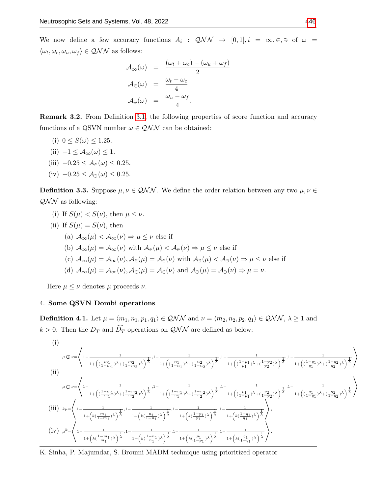We now define a few accuracy functions  $A_i : QNN \rightarrow [0,1], i = \infty, \in, \ni$  of  $\omega =$  $\langle \omega_t, \omega_c, \omega_u, \omega_f \rangle \in \mathcal{QNN}$  as follows:

$$
\mathcal{A}_{\infty}(\omega) = \frac{(\omega_t + \omega_c) - (\omega_u + \omega_f)}{2}
$$

$$
\mathcal{A}_{\infty}(\omega) = \frac{\omega_t - \omega_c}{4}
$$

$$
\mathcal{A}_{\ni}(\omega) = \frac{\omega_u - \omega_f}{4}.
$$

**Remark 3.2.** From Definition [3.1,](#page-2-0) the following properties of score function and accuracy functions of a QSVN number  $\omega \in \mathcal{QNN}$  can be obtained:

- (i)  $0 \le S(\omega) \le 1.25$ .
- (ii)  $-1 \leq A_{\infty}(\omega) \leq 1$ .
- (iii)  $-0.25 \leq A_{\infty}(\omega) \leq 0.25$ .
- (iv)  $-0.25 \leq A_{\exists}(\omega) \leq 0.25$ .

**Definition 3.3.** Suppose  $\mu, \nu \in QNN$ . We define the order relation between any two  $\mu, \nu \in$  $QNN$  as following:

- (i) If  $S(\mu) < S(\nu)$ , then  $\mu \leq \nu$ .
- (ii) If  $S(\mu) = S(\nu)$ , then
	- (a)  $\mathcal{A}_{\infty}(\mu) < \mathcal{A}_{\infty}(\nu) \Rightarrow \mu \leq \nu$  else if
	- (b)  $\mathcal{A}_{\infty}(\mu) = \mathcal{A}_{\infty}(\nu)$  with  $\mathcal{A}_{\infty}(\mu) < \mathcal{A}_{\infty}(\nu) \Rightarrow \mu \leq \nu$  else if
	- (c)  $\mathcal{A}_{\infty}(\mu) = \mathcal{A}_{\infty}(\nu), \mathcal{A}_{\infty}(\mu) = \mathcal{A}_{\infty}(\nu)$  with  $\mathcal{A}_{\ni}(\mu) < \mathcal{A}_{\ni}(\nu) \Rightarrow \mu \leq \nu$  else if
	- (d)  $\mathcal{A}_{\infty}(\mu) = \mathcal{A}_{\infty}(\nu), \mathcal{A}_{\in}(\mu) = \mathcal{A}_{\infty}(\nu)$  and  $\mathcal{A}_{\ni}(\mu) = \mathcal{A}_{\ni}(\nu) \Rightarrow \mu = \nu$ .

Here  $\mu \leq \nu$  denotes  $\mu$  proceeds  $\nu$ .

### 4. Some QSVN Dombi operations

**Definition 4.1.** Let  $\mu = \langle m_1, n_1, p_1, q_1 \rangle \in QNN$  and  $\nu = \langle m_2, n_2, p_2, q_1 \rangle \in QNN$ ,  $\lambda \ge 1$  and  $k > 0$ . Then the  $D_T$  and  $\widehat{D}_T$  operations on  $\mathcal{QNN}$  are defined as below:

(i)  
\n
$$
\mu \oplus \nu = \left\langle 1 - \frac{1}{1 + \left( (\frac{m_1}{1 - m_1})^{\lambda} + (\frac{m_2}{1 - m_2})^{\lambda} \right)^{\frac{1}{\lambda}}}, 1 - \frac{1}{1 + \left( (\frac{n_1}{1 - n_1})^{\lambda} + (\frac{n_2}{1 - n_2})^{\lambda} \right)^{\frac{1}{\lambda}}}, 1 - \frac{1}{1 + \left( (\frac{1 - p_1}{p_1})^{\lambda} + (\frac{1 - p_2}{p_2})^{\lambda} \right)^{\frac{1}{\lambda}}}, 1 - \frac{1}{1 + \left( (\frac{1 - q_1}{q_1})^{\lambda} + (\frac{1 - q_2}{q_2})^{\lambda} \right)^{\frac{1}{\lambda}}}} \right\rangle
$$
\n(ii)  
\n
$$
\mu \ominus \nu = \left\langle 1 - \frac{1}{1 + \left( (\frac{1 - m_1}{m_1})^{\lambda} + (\frac{1 - m_2}{m_2})^{\lambda} \right)^{\frac{1}{\lambda}}}, 1 - \frac{1}{1 + \left( (\frac{1 - n_1}{n_1})^{\lambda} + (\frac{1 - n_2}{n_2})^{\lambda} \right)^{\frac{1}{\lambda}}}, 1 - \frac{1}{1 + \left( (\frac{p_1}{1 - p_1})^{\lambda} + (\frac{p_2}{1 - p_2})^{\lambda} \right)^{\frac{1}{\lambda}}}, 1 - \frac{1}{1 + \left( (\frac{q_1}{1 - q_1})^{\lambda} + (\frac{q_2}{1 - q_2})^{\lambda} \right)^{\frac{1}{\lambda}}}} \right\rangle
$$
\n(iii)  
\n
$$
\kappa \mu = \left\langle 1 - \frac{1}{1 + \left( k(\frac{m_1}{1 - m_1})^{\lambda} \right)^{\frac{1}{\lambda}}}, 1 - \frac{1}{1 + \left( k(\frac{n_1}{1 - n_1})^{\lambda} \right)^{\frac{1}{\lambda}}}, 1 - \frac{1}{1 + \left( k(\frac{1 - p_1}{p_1})^{\lambda} \right)^{\frac{1}{\lambda}}}, 1 - \frac{1}{1 + \left( k(\frac{1 - q_1}{q_1})^{\lambda} \right)^{\frac{1}{\lambda}}}} \right\rangle
$$
\n(iv)  
\n
$$
\mu^k = \left\langle 1 - \frac{1}{
$$

K. Sinha, P. Majumdar, S. Broumi MADM technique using prioritized operator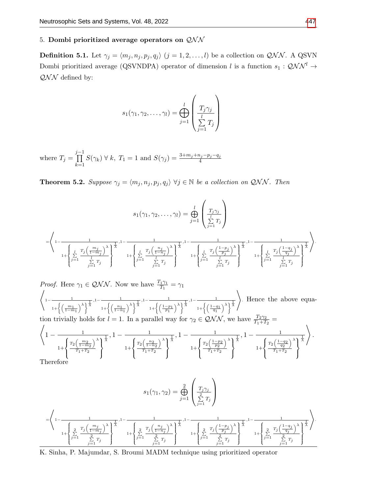# 5. Dombi prioritized average operators on  $QNN$

<span id="page-4-1"></span>**Definition 5.1.** Let  $\gamma_j = \langle m_j, n_j, p_j, q_j \rangle$   $(j = 1, 2, ..., l)$  be a collection on  $QNN$ . A QSVN Dombi prioritized average (QSVNDPA) operator of dimension l is a function  $s_1: \mathcal{QNN}^l \rightarrow$  $QNN$  defined by:

$$
s_1(\gamma_1, \gamma_2, \dots, \gamma_l) = \bigoplus_{j=1}^l \left( \frac{T_j \gamma_j}{\sum_{j=1}^l T_j} \right)
$$

where  $T_j =$ j−1<br>∏  $k=1$  $S(\gamma_k) \forall k, T_1 = 1 \text{ and } S(\gamma_j) = \frac{3+m_j+n_j-p_j-q_j}{4}$ 

<span id="page-4-0"></span>**Theorem 5.2.** Suppose  $\gamma_j = \langle m_j, n_j, p_j, q_j \rangle \ \forall j \in \mathbb{N}$  be a collection on QNN. Then

$$
s_1(\gamma_1, \gamma_2, \dots, \gamma_l) = \bigoplus_{j=1}^l \left( \frac{T_j \gamma_j}{\sum_{j=1}^l T_j} \right)
$$
  

$$
= \left\langle 1 - \frac{1}{\left( \sum_{j=1}^l \frac{T_j \left( \frac{m_j}{1 - m_j} \right)}{\sum_{j=1}^l T_j} \right)^{\frac{1}{\lambda}}, 1 - \frac{1}{\left( \sum_{j=1}^l \frac{T_j \left( \frac{n_j}{1 - n_j} \right)}{\sum_{j=1}^l T_j} \right)^{\frac{1}{\lambda}}}, 1 - \frac{1}{\left( \sum_{j=1}^l \frac{T_j \left( \frac{1 - p_j}{p_j} \right)}{\sum_{j=1}^l T_j} \right)^{\frac{1}{\lambda}}}, 1 - \frac{1}{\left( \sum_{j=1}^l \frac{T_j \left( \frac{1 - q_j}{q_j} \right)}{\sum_{j=1}^l T_j} \right)^{\frac{1}{\lambda}}}} \right\}
$$

Proof. Here 
$$
\gamma_1 \in QNN
$$
. Now we have  $\frac{T_1\gamma_1}{T_1} = \gamma_1$   
\n
$$
\left\langle 1 - \frac{1}{1 + \left\{ \left(\frac{m_1}{1 - m_1}\right)^{\lambda} \right\}^{\frac{1}{\lambda}}, 1 - \frac{1}{1 + \left\{ \left(\frac{n_1}{1 - n_1}\right)^{\lambda} \right\}^{\frac{1}{\lambda}}, 1 - \frac{1}{1 + \left\{ \left(\frac{1 - p_1}{p_1}\right)^{\lambda} \right\}^{\frac{1}{\lambda}}, 1 - \frac{1}{1 + \left\{ \left(\frac{1 - q_1}{q_1}\right)^{\lambda} \right\}^{\frac{1}{\lambda}}}} \right\rangle}.
$$
 Hence the above equation trivially holds for  $l = 1$ . In a parallel way for  $\gamma_2 \in QNN$ , we have  $\frac{T_2\gamma_2}{T_1 + T_2} = \left\langle 1 - \frac{1}{1 + \left\{ \frac{T_2\left(\frac{m_2}{1 - m_2}\right)^{\lambda}\right\}^{\frac{1}{\lambda}}}{1 + \left\{ \frac{T_2\left(\frac{n_2}{1 - n_2}\right)^{\lambda}\right\}^{\frac{1}{\lambda}}}{1 + \left\{ \frac{T_2\left(\frac{1 - p_2}{1 - n_2}\right)^{\lambda}}{T_1 + T_2} \right\}} \right\}.$  Therefore

$$
s_1(\gamma_1, \gamma_2) = \bigoplus_{j=1}^2 \left( \frac{T_j \gamma_j}{\sum\limits_{j=1}^2 T_j} \right)
$$

$$
= \left\langle 1 - \frac{1}{\left( \sum\limits_{j=1}^2 \frac{T_j \left( \frac{m_j}{1 - m_j} \right)^{\lambda}}{1 + \left\{ \sum\limits_{j=1}^2 \frac{T_j \left( \frac{n_j}{1 - n_j} \right)^{\lambda}}{2} \right\}^{\frac{1}{\lambda}}, 1 - \frac{1}{\left( \sum\limits_{j=1}^2 \frac{T_j \left( \frac{1 - p_j}{p_j} \right)^{\lambda}}{2} \right)^{\frac{1}{\lambda}}}, 1 - \frac{1}{\left( \sum\limits_{j=1}^2 \frac{T_j \left( \frac{1 - q_j}{p_j} \right)^{\lambda}}{2} \right)^{\frac{1}{\lambda}}} \right\}.
$$

K. Sinha, P. Majumdar, S. Broumi MADM technique using prioritized operator

.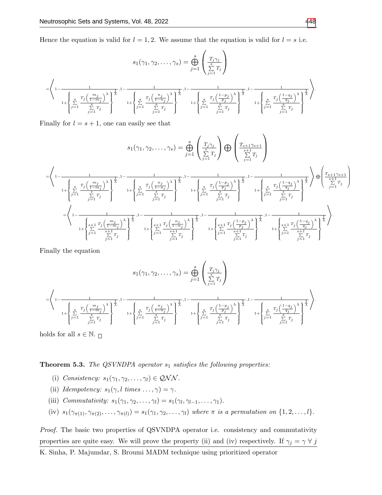Hence the equation is valid for  $l = 1, 2$ . We assume that the equation is valid for  $l = s$  i.e.

$$
s_1(\gamma_1, \gamma_2, \dots, \gamma_s) = \bigoplus_{j=1}^s \left( \frac{T_j \gamma_j}{\sum_{j=1}^s T_j} \right)
$$

$$
= \left\langle 1 - \frac{1}{\left( \sum_{j=1}^s \frac{T_j \left( \frac{m_j}{1 - m_j} \right)^{\lambda}}{\sum_{j=1}^s T_j} \right)^{\frac{1}{\lambda}}, 1 - \frac{1}{\left( \sum_{j=1}^s \frac{T_j \left( \frac{n_j}{1 - n_j} \right)^{\lambda}}{\sum_{j=1}^s T_j} \right)^{\frac{1}{\lambda}}}, 1 - \frac{1}{\left( \sum_{j=1}^s \frac{T_j \left( \frac{1 - p_j}{p_j} \right)^{\lambda}}{\sum_{j=1}^s T_j} \right)^{\frac{1}{\lambda}}}, 1 - \frac{1}{\left( \sum_{j=1}^s \frac{T_j \left( \frac{1 - q_j}{q_j} \right)^{\lambda}}{\sum_{j=1}^s T_j} \right)^{\frac{1}{\lambda}}}, 1 - \frac{1}{\left( \sum_{j=1}^s \frac{T_j \left( \frac{1 - q_j}{q_j} \right)^{\lambda}}{\sum_{j=1}^s T_j} \right)^{\frac{1}{\lambda}}}, 1 - \frac{1}{\left( \sum_{j=1}^s \frac{T_j \left( \frac{1 - q_j}{q_j} \right)^{\lambda}}{\sum_{j=1}^s T_j} \right)^{\frac{1}{\lambda}}}, 1 - \frac{1}{\left( \sum_{j=1}^s \frac{T_j \left( \frac{1 - q_j}{q_j} \right)^{\lambda}}{\sum_{j=1}^s T_j} \right)^{\frac{1}{\lambda}}}, 1 - \frac{1}{\left( \sum_{j=1}^s \frac{T_j \left( \frac{1 - q_j}{q_j} \right)^{\lambda}}{\sum_{j=1}^s T_j} \right)^{\frac{1}{\lambda}}}, 1 - \frac{1}{\left( \sum_{j=1}^s \frac{T_j \left( \frac{1 - q_j}{q_j} \right)^{\lambda}}{\sum_{j=1}^s T_j} \right)^{\frac{1}{\lambda}}}, 1 - \frac{1}{\left( \sum_{j=1}^s \frac{T_j \left( \frac{1 - q_j}{q_j} \right)^{\lambda}}{\sum_{j=1}^s T_j} \right)^{\frac{1}{\lambda}}}, 1 - \frac{1}{\left(
$$

Finally for  $l = s + 1$ , one can easily see that

$$
s_{1}(\gamma_{1},\gamma_{2},\ldots,\gamma_{s}) = \bigoplus_{j=1}^{s} \left(\frac{T_{j}\gamma_{j}}{\sum\limits_{j=1}^{s}T_{j}}\right) \bigoplus \left(\frac{T_{s+1}\gamma_{s+1}}{\sum\limits_{j=1}^{s}T_{j}}\right)
$$
\n
$$
= \left\langle 1 - \frac{1}{\sqrt{\sum\limits_{j=1}^{s} \frac{T_{j}\left(1 - m_{j}\right)}{\sum\limits_{j=1}^{s}T_{j}}}\right\rangle^{\frac{1}{\lambda}}, 1 - \frac{1}{\sqrt{\sum\limits_{j=1}^{s} \frac{T_{j}\left(1 - m_{j}\right)}{\sum\limits_{j=1}^{s}T_{j}}}}\right)^{\frac{1}{\lambda}}, 1 - \frac{1}{\sqrt{\sum\limits_{j=1}^{s} \frac{T_{j}\left(1 - m_{j}\right)}{\sum\limits_{j=1}^{s}T_{j}}}}\right)^{\frac{1}{\lambda}}, 1 - \frac{1}{\sqrt{\sum\limits_{j=1}^{s} \frac{T_{j}\left(1 - m_{j}\right)}{\sum\limits_{j=1}^{s}T_{j}}}}\right)^{\frac{1}{\lambda}}, 1 - \frac{1}{\sqrt{\sum\limits_{j=1}^{s} \frac{T_{j}\left(1 - m_{j}\right)}{\sum\limits_{j=1}^{s}T_{j}}}}\right)^{\frac{1}{\lambda}}, 1 - \frac{1}{\sqrt{\sum\limits_{j=1}^{s} \frac{T_{j}\left(1 - m_{j}\right)}{\sum\limits_{j=1}^{s}T_{j}}}}\right)^{\frac{1}{\lambda}}, 1 - \frac{1}{\sqrt{\sum\limits_{j=1}^{s} \frac{T_{j}\left(1 - m_{j}\right)}{\sum\limits_{j=1}^{s}T_{j}}}}\right)^{\frac{1}{\lambda}}, 1 - \frac{1}{\sqrt{\sum\limits_{j=1}^{s} \frac{T_{j}\left(1 - m_{j}\right)}{\sum\limits_{j=1}^{s}T_{j}}}}\right)^{\frac{1}{\lambda}}, 1 - \frac{1}{\sqrt{\sum\limits_{j=1}^{s} \frac{T_{j}\left(1 - m_{j}\right)}{\sum\limits_{j=1}^{s}T_{j}}}}\right)^{\frac{1}{\lambda}}, 1 - \frac{1}{\sqrt{\sum\limits_{j=1}^{s} \frac{T_{j}\left(1 - m_{j}\right)}{\sum\limits_{j=
$$

Finally the equation

$$
s_1(\gamma_1, \gamma_2, \dots, \gamma_s) = \bigoplus_{j=1}^s \left( \frac{T_j \gamma_j}{\sum_{j=1}^s T_j} \right)
$$

$$
= \left\langle 1 - \frac{1}{\left( \sum_{j=1}^s \frac{T_j \left( \frac{m_j}{1 - m_j} \right)^{\lambda}}{\sum_{j=1}^s T_j} \right)^{\frac{1}{\lambda}}}, 1 - \frac{1}{\left( \sum_{j=1}^s \frac{T_j \left( \frac{n_j}{1 - n_j} \right)^{\lambda}}{\sum_{j=1}^s T_j} \right)^{\frac{1}{\lambda}}}, 1 - \frac{1}{\left( \sum_{j=1}^s \frac{T_j \left( \frac{1 - p_j}{p_j} \right)^{\lambda}}{\sum_{j=1}^s T_j} \right)^{\frac{1}{\lambda}}}, 1 - \frac{1}{\left( \sum_{j=1}^s \frac{T_j \left( \frac{1 - q_j}{q_j} \right)^{\lambda}}{\sum_{j=1}^s T_j} \right)^{\frac{1}{\lambda}}}} \right\}
$$

holds for all  $s \in \mathbb{N}$ .  $\Box$ 

<span id="page-5-0"></span>**Theorem 5.3.** The QSVNDPA operator  $s_1$  satisfies the following properties:

- (i) Consistency:  $s_1(\gamma_1, \gamma_2, \ldots, \gamma_l) \in \mathcal{QNN}$ .
- (ii) Idempotency:  $s_1(\gamma, l \text{ times } \dots, \gamma) = \gamma$ .
- (iii) Commutativity:  $s_1(\gamma_1, \gamma_2, \ldots, \gamma_l) = s_1(\gamma_l, \gamma_{l-1}, \ldots, \gamma_1).$
- (iv)  $s_1(\gamma_{\pi(1)}, \gamma_{\pi(2)}, \ldots, \gamma_{\pi(l)}) = s_1(\gamma_1, \gamma_2, \ldots, \gamma_l)$  where  $\pi$  is a permutation on  $\{1, 2, \ldots, l\}$ .

Proof. The basic two properties of QSVNDPA operator i.e. consistency and commutativity properties are quite easy. We will prove the property (ii) and (iv) respectively. If  $\gamma_j = \gamma \forall j$ 

K. Sinha, P. Majumdar, S. Broumi MADM technique using prioritized operator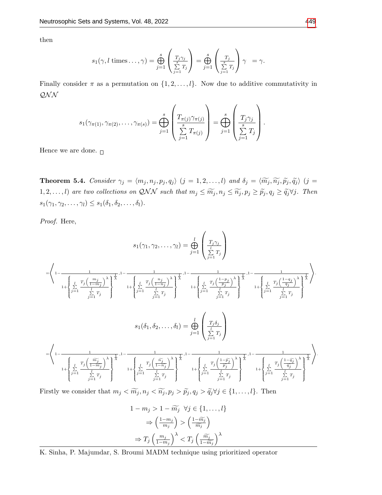then

$$
s_1(\gamma, l \text{ times } \dots, \gamma) = \bigoplus_{j=1}^s \left( \frac{T_j \gamma_j}{\sum_{j=1}^s T_j} \right) = \bigoplus_{j=1}^s \left( \frac{T_j}{\sum_{j=1}^s T_j} \right) \gamma = \gamma.
$$

Finally consider  $\pi$  as a permutation on  $\{1, 2, \ldots, l\}$ . Now due to additive commutativity in  $\mathcal{QNN}$ 

$$
s_1(\gamma_{\pi(1)}, \gamma_{\pi(2)}, \dots, \gamma_{\pi(s)}) = \bigoplus_{j=1}^s \left( \frac{T_{\pi(j)} \gamma_{\pi(j)}}{\sum_{j=1}^s T_{\pi(j)}} \right) = \bigoplus_{j=1}^s \left( \frac{T_j \gamma_j}{\sum_{j=1}^s T_j} \right).
$$

Hence we are done.  $_\Box$ 

<span id="page-6-0"></span>**Theorem 5.4.** Consider  $\gamma_j = \langle m_j , n_j , p_j , q_j \rangle$   $(j = 1, 2, ..., l)$  and  $\delta_j = \langle \widetilde{m_j}, \widetilde{n_j}, \widetilde{p_j}, \widetilde{q_j} \rangle$   $(j = 1, 2, ..., l)$ 1, 2, ..., *l*) are two collections on QNN such that  $m_j \leq \widetilde{m}_j, n_j \leq \widetilde{n}_j, p_j \geq \widetilde{p}_j, q_j \geq \widetilde{q}_j \forall j$ . Then  $s_1(\gamma_1, \gamma_2, \ldots, \gamma_l) \leq s_1(\delta_1, \delta_2, \ldots, \delta_l).$ 

Proof. Here,

$$
s_{1}(\gamma_{1},\gamma_{2},\ldots,\gamma_{l}) = \bigoplus_{j=1}^{l} \left( \frac{T_{j}\gamma_{j}}{\sum\limits_{j=1}^{l} T_{j}} \right)
$$
\n
$$
= \left\langle 1 - \frac{1}{\left( \sum\limits_{j=1}^{l} T_{j} \left( \frac{m_{j}}{1-m_{j}} \right)^{\lambda} \right)^{\frac{1}{\lambda}}, 1 - \frac{1}{\left( \sum\limits_{j=1}^{l} T_{j} \left( \frac{1-p_{j}}{1-n_{j}} \right)^{\lambda} \right)^{\frac{1}{\lambda}}}, 1 - \frac{1}{\left( \sum\limits_{j=1}^{l} T_{j} \left( \frac{1-p_{j}}{1-n_{j}} \right)^{\lambda} \right)^{\frac{1}{\lambda}}}, 1 - \frac{1}{\left( \sum\limits_{j=1}^{l} T_{j} \left( \frac{1-p_{j}}{1-n_{j}} \right)^{\lambda} \right)^{\frac{1}{\lambda}}}, 1 - \frac{1}{\left( \sum\limits_{j=1}^{l} T_{j} \left( \frac{1-p_{j}}{1-n_{j}} \right)^{\lambda} \right)^{\frac{1}{\lambda}}}, 1 - \frac{1}{\left( \sum\limits_{j=1}^{l} T_{j} \right)^{\lambda}} \right\}.
$$
\n
$$
s_{1}(\delta_{1}, \delta_{2}, \ldots, \delta_{l}) = \bigoplus_{j=1}^{l} \left( \frac{T_{j}\delta_{j}}{\sum\limits_{j=1}^{l} T_{j}} \right)
$$
\n
$$
= \left\langle 1 - \frac{1}{\left( \sum\limits_{j=1}^{l} \frac{T_{j} \left( \frac{\widetilde{m_{j}}}{1-m_{j}} \right)^{\lambda}}{\frac{1}{\lambda}} \right)^{\frac{1}{\lambda}}}, 1 - \frac{1}{\left( \sum\limits_{j=1}^{l} \frac{T_{j} \left( \frac{\widetilde{m_{j}}}{1-n_{j}} \right)^{\lambda}}{\frac{1}{\lambda}} \right)^{\frac{1}{\lambda}}}, 1 - \frac{1}{\left( \sum\limits_{j=1}^{l} T_{j} \left( \frac{1-p_{j}}{1-n_{j}} \right)^{\lambda}} \right)^{\frac{1}{\lambda}}}, 1 - \frac{1}{\left( \sum\limits_{j=1}^{l} \frac{T_{j}
$$

Firstly we consider that  $m_j < \widetilde{m_j}, n_j < \widetilde{n_j}, p_j > \widetilde{p_j}, q_j > \widetilde{q_j} \forall j \in \{1, ..., l\}$ . Then

$$
1 - m_j > 1 - \widetilde{m}_j \quad \forall j \in \{1, \dots, l\}
$$
\n
$$
\Rightarrow \left(\frac{1 - m_j}{m_j}\right) > \left(\frac{1 - \widetilde{m}_j}{\widetilde{m}_j}\right)
$$
\n
$$
\Rightarrow T_j \left(\frac{m_j}{1 - m_j}\right)^\lambda < T_j \left(\frac{\widetilde{m}_j}{1 - \widetilde{m}_j}\right)^\lambda
$$

K. Sinha, P. Majumdar, S. Broumi MADM technique using prioritized operator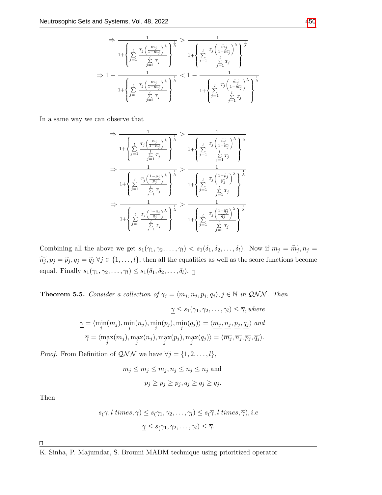$$
\Rightarrow \frac{1}{1 + \left\{ \sum_{j=1}^{l} \frac{T_j \left( \frac{m_j}{1 - m_j} \right)^{\lambda}}{\sum_{j=1}^{l} T_j} \right\}^{\frac{1}{\lambda}}} > \frac{1}{1 + \left\{ \sum_{j=1}^{l} \frac{T_j \left( \frac{\widetilde{m}_j}{1 - \widetilde{m}_j} \right)^{\lambda}}{\sum_{j=1}^{l} T_j} \right\}^{\frac{1}{\lambda}}}
$$
  

$$
\Rightarrow 1 - \frac{1}{1 + \left\{ \sum_{j=1}^{l} \frac{T_j \left( \frac{m_j}{1 - m_j} \right)^{\lambda}}{\sum_{j=1}^{l} T_j} \right\}^{\frac{1}{\lambda}}} < 1 - \frac{1}{1 + \left\{ \sum_{j=1}^{l} \frac{T_j \left( \frac{\widetilde{m}_j}{1 - \widetilde{m}_j} \right)^{\lambda}}{\sum_{j=1}^{l} T_j} \right\}^{\frac{1}{\lambda}}}
$$

In a same way we can observe that

$$
\Rightarrow \frac{1}{1 + \left\{ \sum_{j=1}^{l} \frac{T_j \left( \frac{n_j}{1 - n_j} \right)^\lambda}{\sum_{j=1}^{l} T_j} \right\}^\frac{1}{\lambda}} > \frac{1}{1 + \left\{ \sum_{j=1}^{l} \frac{T_j \left( \frac{\widetilde{n_j}}{1 - \widetilde{n_j}} \right)^\lambda}{\sum_{j=1}^{l} T_j} \right\}^\frac{1}{\lambda}} \\ \Rightarrow \frac{1}{1 + \left\{ \sum_{j=1}^{l} \frac{T_j \left( \frac{1 - p_j}{p_j} \right)^\lambda}{\sum_{j=1}^{l} T_j} \right\}^\frac{1}{\lambda}} > \frac{1}{1 + \left\{ \sum_{j=1}^{l} \frac{T_j \left( \frac{1 - \widetilde{p_j}}{\widetilde{p_j}} \right)^\lambda}{\sum_{j=1}^{l} T_j} \right\}^\frac{1}{\lambda}} \\ \Rightarrow \frac{1}{1 + \left\{ \sum_{j=1}^{l} \frac{T_j \left( \frac{1 - q_j}{q_j} \right)^\lambda}{\sum_{j=1}^{l} T_j} \right\}^\frac{1}{\lambda}} > \frac{1}{1 + \left\{ \sum_{j=1}^{l} \frac{T_j \left( \frac{1 - \widetilde{q_j}}{\widetilde{q_j}} \right)^\lambda}{\sum_{j=1}^{l} T_j} \right\}^\frac{1}{\lambda}} \\ \Rightarrow \frac{1}{1 + \left\{ \sum_{j=1}^{l} \frac{T_j \left( \frac{1 - q_j}{\widetilde{q_j}} \right)^\lambda}{\sum_{j=1}^{l} T_j} \right\}^\frac{1}{\lambda}} \right. \\ \left. + \left\{ \sum_{j=1}^{l} \frac{T_j \left( \frac{1 - \widetilde{q_j}}{\widetilde{q_j}} \right)^\lambda}{\sum_{j=1}^{l} T_j} \right\}^\frac{1}{\lambda}} \right\}
$$

Combining all the above we get  $s_1(\gamma_1, \gamma_2, \ldots, \gamma_l) < s_1(\delta_1, \delta_2, \ldots, \delta_l)$ . Now if  $m_j = \widetilde{m_j}, n_j =$  $\widetilde{n_j}, p_j = \widetilde{p_j}, q_j = \widetilde{q_j} \ \forall j \in \{1, \ldots, l\},\$  then all the equalities as well as the score functions become equal. Finally  $s_1(\gamma_1, \gamma_2, \ldots, \gamma_l) \leq s_1(\delta_1, \delta_2, \ldots, \delta_l)$ .

<span id="page-7-0"></span>**Theorem 5.5.** Consider a collection of  $\gamma_j = \langle m_j, n_j, p_j, q_j \rangle, j \in \mathbb{N}$  in QNN. Then

$$
\gamma \le s_1(\gamma_1, \gamma_2, \dots, \gamma_l) \le \overline{\gamma}, where
$$
  

$$
\gamma = \langle \min_j(m_j), \min_j(n_j), \min_j(p_j), \min_j(q_j) \rangle = \langle \underbrace{m_j, n_j, p_j, q_j}_{\overline{\gamma}} \rangle \text{ and }
$$
  

$$
\overline{\gamma} = \langle \max_j(m_j), \max_j(n_j), \max_j(p_j), \max_j(q_j) \rangle = \langle \overline{m_j}, \overline{n_j}, \overline{p_j}, \overline{q_j} \rangle.
$$

*Proof.* From Definition of  $QNN$  we have  $\forall j = \{1, 2, ..., l\},$ 

$$
\underline{m_j} \le m_j \le \overline{m_j}, \underline{n_j} \le n_j \le \overline{n_j} \text{ and}
$$
  

$$
\underline{p_j} \ge p_j \ge \overline{p_j}, \underline{q_j} \ge q_j \ge \overline{q_j}.
$$

Then

$$
s_{\left(\gamma\right)} l \ times, \gamma \leq s_{\left(\gamma_1, \gamma_2, \dots, \gamma_l\right)} \leq s_{\left(\overline{\gamma}, l \ times, \overline{\gamma}\right), i.e
$$

$$
\gamma \leq s_{\left(\gamma_1, \gamma_2, \dots, \gamma_l\right)} \leq \overline{\gamma}.
$$

 $\Box$ 

K. Sinha, P. Majumdar, S. Broumi MADM technique using prioritized operator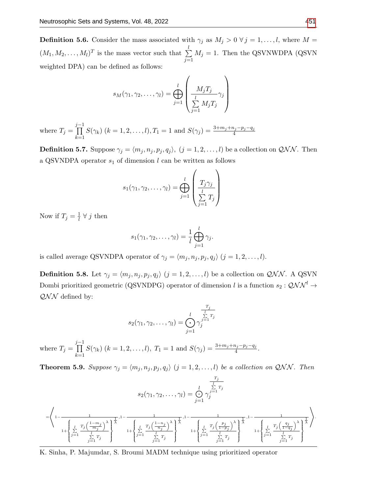**Definition 5.6.** Consider the mass associated with  $\gamma_j$  as  $M_j > 0 \ \forall j = 1, ..., l$ , where  $M =$  $(M_1, M_2, \ldots, M_l)^T$  is the mass vector such that  $\sum_{i=1}^l$  $j=1$  $M_j = 1$ . Then the QSVNWDPA (QSVN) weighted DPA) can be defined as follows:

$$
s_M(\gamma_1, \gamma_2, \dots, \gamma_l) = \bigoplus_{j=1}^l \left( \frac{M_j T_j}{\sum_{j=1}^l M_j T_j} \gamma_j \right)
$$

where  $T_j =$ j−1<br>∏  $k=1$  $S(\gamma_k)$   $(k = 1, 2, \ldots, l), T_1 = 1$  and  $S(\gamma_j) = \frac{3 + m_j + n_j - p_j - q_j}{4}$ 

**Definition 5.7.** Suppose  $\gamma_j = \langle m_j, n_j, p_j, q_j \rangle$ ,  $(j = 1, 2, ..., l)$  be a collection on  $\mathcal{QNN}$ . Then a QSVNDPA operator  $s_1$  of dimension l can be written as follows

$$
s_1(\gamma_1, \gamma_2, \dots, \gamma_l) = \bigoplus_{j=1}^l \left( \frac{T_j \gamma_j}{\sum_{j=1}^l T_j} \right)
$$

Now if  $T_j = \frac{1}{l}$  $\frac{1}{l}$   $\forall$  j then

$$
s_1(\gamma_1, \gamma_2, \ldots, \gamma_l) = \frac{1}{l} \bigoplus_{j=1}^l \gamma_j.
$$

is called average QSVNDPA operator of  $\gamma_j = \langle m_j, n_j, p_j, q_j \rangle$   $(j = 1, 2, \ldots, l)$ .

<span id="page-8-0"></span>**Definition 5.8.** Let  $\gamma_j = \langle m_j, n_j, p_j, q_j \rangle$   $(j = 1, 2, ..., l)$  be a collection on  $QNN$ . A QSVN Dombi prioritized geometric (QSVNDPG) operator of dimension  $l$  is a function  $s_2:{\mathcal{QNN}}^l\to$  $QNN$  defined by:

$$
s_2(\gamma_1, \gamma_2, \dots, \gamma_l) = \bigodot_{j=1}^l \gamma_j^{\frac{T_j}{\sum\limits_{j=1}^l T_j}}
$$

where  $T_j =$ j−1<br>∏  $k=1$  $S(\gamma_k)$   $(k = 1, 2, ..., l)$ ,  $T_1 = 1$  and  $S(\gamma_j) = \frac{3 + m_j + n_j - p_j - q_j}{4}$ .

**Theorem 5.9.** Suppose  $\gamma_j = \langle m_j, n_j, p_j, q_j \rangle$   $(j = 1, 2, ..., l)$  be a collection on QNN. Then

$$
s_2(\gamma_1, \gamma_2, \dots, \gamma_l) = \bigcirc_{j=1}^l \gamma_j^{\frac{T_j}{\sum\limits_{j=1}^l T_j}} \\ = \left\langle 1 - \frac{1}{\left( \sum\limits_{j=1}^l \frac{T_j \left( \frac{1-m_j}{m_j} \right)^{\lambda}}{1 + \left( \sum\limits_{j=1}^l \frac{T_j \left( \frac{1-n_j}{n_j} \right)^{\lambda}}{1 - \left( \frac{1}{m_j} \right)^{\lambda}} \right)^{\frac{1}{\lambda}}}, 1 - \frac{1}{\left( \sum\limits_{j=1}^l \frac{T_j \left( \frac{1-n_j}{n_j} \right)^{\lambda}}{1 + \left( \sum\limits_{j=1}^l \frac{T_j \left( \frac{p_j}{1-p_j} \right)^{\lambda}}{1 - \left( \frac{1}{m_j} \right)^{\lambda}} \right)^{\frac{1}{\lambda}}}, 1 - \frac{1}{\left( \sum\limits_{j=1}^l \frac{T_j \left( \frac{q_j}{1-p_j} \right)^{\lambda}}{1 - \left( \frac{1}{m_j} \right)^{\lambda}} \right)^{\frac{1}{\lambda}}}} \right\rangle.
$$

K. Sinha, P. Majumdar, S. Broumi MADM technique using prioritized operator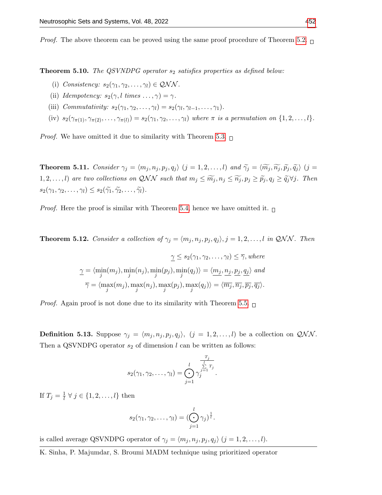*Proof.* The above theorem can be proved using the same proof procedure of Theorem [5.2.](#page-4-0)  $\Box$ 

**Theorem 5.10.** The QSVNDPG operator  $s_2$  satisfies properties as defined below:

- (i) Consistency:  $s_2(\gamma_1, \gamma_2, \ldots, \gamma_l) \in \mathcal{QNN}$ .
- (ii) Idempotency:  $s_2(\gamma, l \text{ times } \dots, \gamma) = \gamma$ .
- (iii) Commutativity:  $s_2(\gamma_1, \gamma_2, \ldots, \gamma_l) = s_2(\gamma_l, \gamma_{l-1}, \ldots, \gamma_1).$
- (iv)  $s_2(\gamma_{\pi(1)}, \gamma_{\pi(2)}, \ldots, \gamma_{\pi(l)}) = s_2(\gamma_1, \gamma_2, \ldots, \gamma_l)$  where  $\pi$  is a permutation on  $\{1, 2, \ldots, l\}.$

*Proof.* We have omitted it due to similarity with Theorem [5.3.](#page-5-0)  $\Box$ 

**Theorem 5.11.** Consider  $\gamma_j = \langle m_j , n_j , p_j , q_j \rangle$   $(j = 1, 2, ..., l)$  and  $\widetilde{\gamma}_j = \langle \widetilde{m_j}, \widetilde{n_j}, \widetilde{p_j}, \widetilde{q_j} \rangle$   $(j = 1, 2, ..., l)$ 1, 2, ..., *l*) are two collections on QNN such that  $m_j \leq \widetilde{m}_j$ ,  $n_j \leq \widetilde{n}_j$ ,  $p_j \geq \widetilde{p}_j$ ,  $q_j \geq \widetilde{q}_j \forall j$ . Then  $s_2(\gamma_1, \gamma_2, \ldots, \gamma_l) \leq s_2(\widetilde{\gamma_1}, \widetilde{\gamma_2}, \ldots, \widetilde{\gamma_l}).$ 

*Proof.* Here the proof is similar with Theorem [5.4,](#page-6-0) hence we have omitted it.  $\Box$ 

**Theorem 5.12.** Consider a collection of  $\gamma_j = \langle m_j, n_j, p_j, q_j \rangle$ ,  $j = 1, 2, ..., l$  in QNN. Then

$$
\underline{\gamma} \leq s_2(\gamma_1, \gamma_2, \dots, \gamma_l) \leq \overline{\gamma}, where
$$
  

$$
\underline{\gamma} = \langle \min_j(m_j), \min_j(n_j), \min_j(p_j), \min_j(q_j) \rangle = \langle \underline{m_j}, \underline{n_j}, \underline{p_j}, \underline{q_j} \rangle \text{ and}
$$
  

$$
\overline{\gamma} = \langle \max_j(m_j), \max_j(n_j), \max_j(p_j), \max_j(q_j) \rangle = \langle \overline{m_j}, \overline{n_j}, \overline{p_j}, \overline{q_j} \rangle.
$$

*Proof.* Again proof is not done due to its similarity with Theorem [5.5.](#page-7-0)  $\Box$ 

**Definition 5.13.** Suppose  $\gamma_j = \langle m_j, n_j, p_j, q_j \rangle$ ,  $(j = 1, 2, ..., l)$  be a collection on  $\mathcal{QNN}$ . Then a QSVNDPG operator  $s_2$  of dimension l can be written as follows:

$$
s_2(\gamma_1, \gamma_2, \ldots, \gamma_l) = \bigodot_{j=1}^l \gamma_j^{\frac{T_j}{\sum\limits_{j=1}^l T_j}}.
$$

If  $T_j = \frac{1}{l}$  $\frac{1}{l} \forall j \in \{1, 2, \ldots, l\}$  then

$$
s_2(\gamma_1, \gamma_2, \ldots, \gamma_l) = (\bigodot_{j=1}^l \gamma_j)^{\frac{1}{l}}.
$$

is called average QSVNDPG operator of  $\gamma_j = \langle m_j, n_j, p_j, q_j \rangle$   $(j = 1, 2, \dots, l)$ .

K. Sinha, P. Majumdar, S. Broumi MADM technique using prioritized operator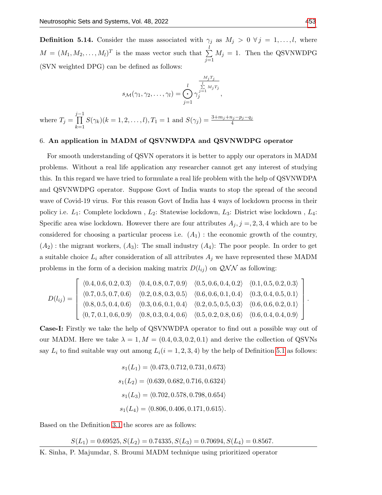**Definition 5.14.** Consider the mass associated with  $\gamma_j$  as  $M_j > 0 \ \forall j = 1, ..., l$ , where  $M = (M_1, M_2, \ldots, M_l)^T$  is the mass vector such that  $\sum_{i=1}^{l}$  $j=1$  $M_j = 1$ . Then the QSVNWDPG (SVN weighted DPG) can be defined as follows:

$$
s_{\mathcal{M}}(\gamma_1, \gamma_2, \dots, \gamma_l) = \bigodot_{j=1}^l \gamma_j^{\frac{M_j T_j}{\sum\limits_{j=1}^l M_j T_j}},
$$
  
where  $T_j = \prod_{k=1}^{j-1} S(\gamma_k)(k = 1, 2, \dots, l), T_1 = 1$  and  $S(\gamma_j) = \frac{3 + m_j + n_j - p_j - q_j}{4}$ 

## 6. An application in MADM of QSVNWDPA and QSVNWDPG operator

For smooth understanding of QSVN operators it is better to apply our operators in MADM problems. Without a real life application any researcher cannot get any interest of studying this. In this regard we have tried to formulate a real life problem with the help of QSVNWDPA and QSVNWDPG operator. Suppose Govt of India wants to stop the spread of the second wave of Covid-19 virus. For this reason Govt of India has 4 ways of lockdown process in their policy i.e.  $L_1$ : Complete lockdown,  $L_2$ : Statewise lockdown,  $L_3$ : District wise lockdown,  $L_4$ : Specific area wise lockdown. However there are four attributes  $A_j$ ,  $j = 2, 3, 4$  which are to be considered for choosing a particular process i.e.  $(A_1)$ : the economic growth of the country,  $(A_2)$ : the migrant workers,  $(A_3)$ : The small industry  $(A_4)$ : The poor people. In order to get a suitable choice  $L_i$  after consideration of all attributes  $A_j$  we have represented these MADM problems in the form of a decision making matrix  $D(l_{ij})$  on  $QNN$  as following:

$$
D(l_{ij}) = \left[\begin{array}{cccccc} \langle 0.4, 0.6, 0.2, 0.3 \rangle & \langle 0.4, 0.8, 0.7, 0.9 \rangle & \langle 0.5, 0.6, 0.4, 0.2 \rangle & \langle 0.1, 0.5, 0.2, 0.3 \rangle \\ \langle 0.7, 0.5, 0.7, 0.6 \rangle & \langle 0.2, 0.8, 0.3, 0.5 \rangle & \langle 0.6, 0.6, 0.1, 0.4 \rangle & \langle 0.3, 0.4, 0.5, 0.1 \rangle \\ \langle 0.8, 0.5, 0.4, 0.6 \rangle & \langle 0.3, 0.6, 0.1, 0.4 \rangle & \langle 0.2, 0.5, 0.5, 0.3 \rangle & \langle 0.6, 0.6, 0.2, 0.1 \rangle \\ \langle 0, 7, 0.1, 0.6, 0.9 \rangle & \langle 0.8, 0.3, 0.4, 0.6 \rangle & \langle 0.5, 0.2, 0.8, 0.6 \rangle & \langle 0.6, 0.4, 0.4, 0.9 \rangle \end{array}\right]
$$

Case-I: Firstly we take the help of QSVNWDPA operator to find out a possible way out of our MADM. Here we take  $\lambda = 1, M = (0.4, 0.3, 0.2, 0.1)$  and derive the collection of QSVNs say  $L_i$  to find suitable way out among  $L_i(i = 1, 2, 3, 4)$  by the help of Definition [5.1](#page-4-1) as follows:

$$
s_1(L_1) = \langle 0.473, 0.712, 0.731, 0.673 \rangle
$$
  
\n
$$
s_1(L_2) = \langle 0.639, 0.682, 0.716, 0.6324 \rangle
$$
  
\n
$$
s_1(L_3) = \langle 0.702, 0.578, 0.798, 0.654 \rangle
$$
  
\n
$$
s_1(L_4) = \langle 0.806, 0.406, 0.171, 0.615 \rangle.
$$

Based on the Definition [3.1](#page-2-0) the scores are as follows:

 $S(L_1) = 0.69525, S(L_2) = 0.74335, S(L_3) = 0.70694, S(L_4) = 0.8567.$ 

.

K. Sinha, P. Majumdar, S. Broumi MADM technique using prioritized operator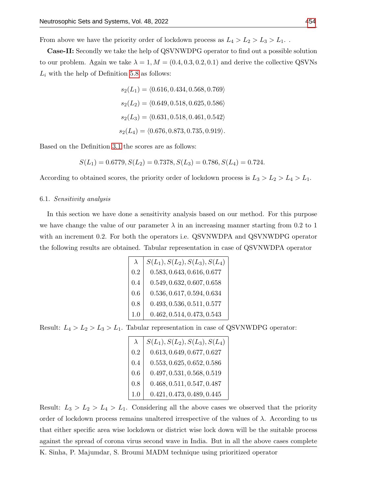From above we have the priority order of lockdown process as  $L_4 > L_2 > L_3 > L_1$ .

Case-II: Secondly we take the help of QSVNWDPG operator to find out a possible solution to our problem. Again we take  $\lambda = 1, M = (0.4, 0.3, 0.2, 0.1)$  and derive the collective QSVNs  $L_i$  with the help of Definition [5.8](#page-8-0) as follows:

> $s_2(L_1) = \langle 0.616, 0.434, 0.568, 0.769 \rangle$  $s_2(L_2) = \langle 0.649, 0.518, 0.625, 0.586 \rangle$  $s_2(L_3) = \langle 0.631, 0.518, 0.461, 0.542 \rangle$  $s_2(L_4) = \langle 0.676, 0.873, 0.735, 0.919 \rangle.$

Based on the Definition [3.1](#page-2-0) the scores are as follows:

$$
S(L_1) = 0.6779, S(L_2) = 0.7378, S(L_3) = 0.786, S(L_4) = 0.724.
$$

According to obtained scores, the priority order of lockdown process is  $L_3 > L_2 > L_4 > L_1$ .

## 6.1. Sensitivity analysis

In this section we have done a sensitivity analysis based on our method. For this purpose we have change the value of our parameter  $\lambda$  in an increasing manner starting from 0.2 to 1 with an increment 0.2. For both the operators i.e. QSVNWDPA and QSVNWDPG operator the following results are obtained. Tabular representation in case of QSVNWDPA operator

|     | $S(L_1), S(L_2), S(L_3), S(L_4)$ |
|-----|----------------------------------|
| 0.2 | 0.583, 0.643, 0.616, 0.677       |
| 0.4 | 0.549, 0.632, 0.607, 0.658       |
| 0.6 | 0.536, 0.617, 0.594, 0.634       |
| 0.8 | 0.493, 0.536, 0.511, 0.577       |
| 1.0 | 0.462, 0.514, 0.473, 0.543       |

Result:  $L_4 > L_2 > L_3 > L_1$ . Tabular representation in case of QSVNWDPG operator:

| $\lambda$ | $S(L_1), S(L_2), S(L_3), S(L_4)$ |
|-----------|----------------------------------|
| 0.2       | 0.613, 0.649, 0.677, 0.627       |
| 0.4       | 0.553, 0.625, 0.652, 0.586       |
| 0.6       | 0.497, 0.531, 0.568, 0.519       |
| 0.8       | 0.468, 0.511, 0.547, 0.487       |
| 1.0       | 0.421, 0.473, 0.489, 0.445       |

Result:  $L_3 > L_2 > L_4 > L_1$ . Considering all the above cases we observed that the priority order of lockdown process remains unaltered irrespective of the values of  $\lambda$ . According to us that either specific area wise lockdown or district wise lock down will be the suitable process against the spread of corona virus second wave in India. But in all the above cases complete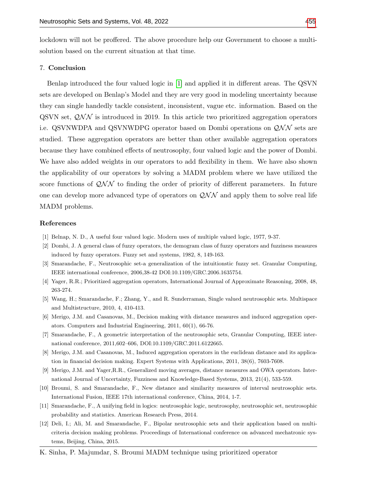lockdown will not be proffered. The above procedure help our Government to choose a multisolution based on the current situation at that time.

# 7. Conclusion

Benlap introduced the four valued logic in [\[1\]](#page-12-3) and applied it in different areas. The QSVN sets are developed on Benlap's Model and they are very good in modeling uncertainty because they can single handedly tackle consistent, inconsistent, vague etc. information. Based on the QSVN set,  $QNN$  is introduced in 2019. In this article two prioritized aggregation operators i.e. QSVNWDPA and QSVNWDPG operator based on Dombi operations on  $\mathcal{QNN}$  sets are studied. These aggregation operators are better than other available aggregation operators because they have combined effects of neutrosophy, four valued logic and the power of Dombi. We have also added weights in our operators to add flexibility in them. We have also shown the applicability of our operators by solving a MADM problem where we have utilized the score functions of  $\mathcal{QNN}$  to finding the order of priority of different parameters. In future one can develop more advanced type of operators on  $QNN$  and apply them to solve real life MADM problems.

#### References

- <span id="page-12-3"></span>[1] Belnap, N. D., A useful four valued logic. Modern uses of multiple valued logic, 1977, 9-37.
- <span id="page-12-4"></span>[2] Dombi, J. A general class of fuzzy operators, the demogram class of fuzzy operators and fuzziness measures induced by fuzzy operators. Fuzzy set and systems, 1982, 8, 149-163.
- <span id="page-12-0"></span>[3] Smarandache, F., Neutrosophic set-a generalization of the intuitionstic fuzzy set. Granular Computing, IEEE international conference, 2006,38-42 DOI:10.1109/GRC.2006.1635754.
- <span id="page-12-1"></span>[4] Yager, R.R.; Prioritized aggregation operators, International Journal of Approximate Reasoning, 2008, 48, 263-274.
- [5] Wang, H.; Smarandache, F.; Zhang, Y., and R. Sunderraman, Single valued neutrosophic sets. Multispace and Multistructure, 2010, 4, 410-413.
- [6] Merigo, J.M. and Casanovas, M., Decision making with distance measures and induced aggregation operators. Computers and Industrial Engineering, 2011, 60(1), 66-76.
- [7] Smarandache, F., A geometric interpretation of the neutrosophic sets, Granular Computing, IEEE international conference, 2011,602–606, DOI:10.1109/GRC.2011.6122665.
- [8] Merigo, J.M. and Casanovas, M., Induced aggregation operators in the euclidean distance and its application in financial decision making. Expert Systems with Applications, 2011, 38(6), 7603-7608.
- [9] Merigo, J.M. and Yager,R.R., Generalized moving averages, distance measures and OWA operators. International Journal of Uncertainty, Fuzziness and Knowledge-Based Systems, 2013, 21(4), 533-559.
- [10] Broumi, S. and Smarandache, F., New distance and similarity measures of interval neutrosophic sets. International Fusion, IEEE 17th international conference, China, 2014, 1-7.
- [11] Smarandache, F., A unifying field in logics: neutrosophic logic, neutrosophy, neutrosophic set, neutrosophic probability and statistics. American Research Press, 2014.
- <span id="page-12-2"></span>[12] Deli, I.; Ali, M. and Smarandache, F., Bipolar neutrosophic sets and their application based on multicriteria decision making problems. Proceedings of International conference on advanced mechatronic systems, Beijing, China, 2015.
- K. Sinha, P. Majumdar, S. Broumi MADM technique using prioritized operator